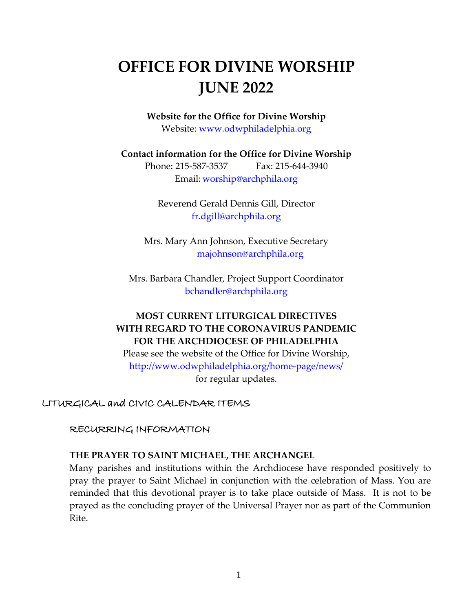# **OFFICE FOR DIVINE WORSHIP JUNE 2022**

**Website for the Office for Divine Worship** Website: [www.odwphiladelphia.org](http://www.odwphiladelphia.org/)

**Contact information for the Office for Divine Worship**

Phone: 215-587-3537 Fax: 215-644-3940 Email: [worship@archphila.org](mailto:worship@archphila.org)

Reverend Gerald Dennis Gill, Director [fr.dgill@archphila.org](mailto:fr.dgill@archphila.org)

Mrs. Mary Ann Johnson, Executive Secretary [majohnson@archphila.org](mailto:majohnson@archphila.org)

Mrs. Barbara Chandler, Project Support Coordinator [bchandler@archphila.org](mailto:bchandler@archphila.org)

# **MOST CURRENT LITURGICAL DIRECTIVES WITH REGARD TO THE CORONAVIRUS PANDEMIC FOR THE ARCHDIOCESE OF PHILADELPHIA**

Please see the website of the Office for Divine Worship, <http://www.odwphiladelphia.org/home-page/news/> for regular updates.

LITURGICAL and CIVIC CALENDAR ITEMS

RECURRING INFORMATION

## **THE PRAYER TO SAINT MICHAEL, THE ARCHANGEL**

Many parishes and institutions within the Archdiocese have responded positively to pray the prayer to Saint Michael in conjunction with the celebration of Mass. You are reminded that this devotional prayer is to take place outside of Mass. It is not to be prayed as the concluding prayer of the Universal Prayer nor as part of the Communion Rite.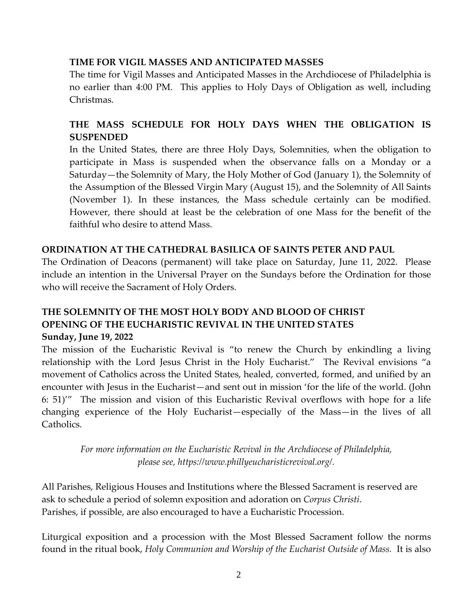## **TIME FOR VIGIL MASSES AND ANTICIPATED MASSES**

The time for Vigil Masses and Anticipated Masses in the Archdiocese of Philadelphia is no earlier than 4:00 PM. This applies to Holy Days of Obligation as well, including Christmas.

## **THE MASS SCHEDULE FOR HOLY DAYS WHEN THE OBLIGATION IS SUSPENDED**

In the United States, there are three Holy Days, Solemnities, when the obligation to participate in Mass is suspended when the observance falls on a Monday or a Saturday—the Solemnity of Mary, the Holy Mother of God (January 1), the Solemnity of the Assumption of the Blessed Virgin Mary (August 15), and the Solemnity of All Saints (November 1). In these instances, the Mass schedule certainly can be modified. However, there should at least be the celebration of one Mass for the benefit of the faithful who desire to attend Mass.

## **ORDINATION AT THE CATHEDRAL BASILICA OF SAINTS PETER AND PAUL**

The Ordination of Deacons (permanent) will take place on Saturday, June 11, 2022. Please include an intention in the Universal Prayer on the Sundays before the Ordination for those who will receive the Sacrament of Holy Orders.

## **THE SOLEMNITY OF THE MOST HOLY BODY AND BLOOD OF CHRIST OPENING OF THE EUCHARISTIC REVIVAL IN THE UNITED STATES Sunday, June 19, 2022**

The mission of the Eucharistic Revival is "to renew the Church by enkindling a living relationship with the Lord Jesus Christ in the Holy Eucharist." The Revival envisions "a movement of Catholics across the United States, healed, converted, formed, and unified by an encounter with Jesus in the Eucharist—and sent out in mission 'for the life of the world. (John 6: 51)'" The mission and vision of this Eucharistic Revival overflows with hope for a life changing experience of the Holy Eucharist—especially of the Mass—in the lives of all Catholics.

*For more information on the Eucharistic Revival in the Archdiocese of Philadelphia, please see, https://www.phillyeucharisticrevival.org/.*

All Parishes, Religious Houses and Institutions where the Blessed Sacrament is reserved are ask to schedule a period of solemn exposition and adoration on *Corpus Christi*. Parishes, if possible, are also encouraged to have a Eucharistic Procession.

Liturgical exposition and a procession with the Most Blessed Sacrament follow the norms found in the ritual book, *Holy Communion and Worship of the Eucharist Outside of Mass.* It is also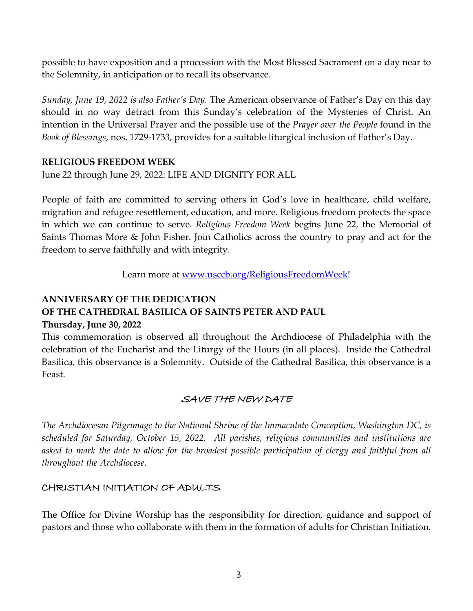possible to have exposition and a procession with the Most Blessed Sacrament on a day near to the Solemnity, in anticipation or to recall its observance.

*Sunday, June 19, 2022 is also Father's Day.* The American observance of Father's Day on this day should in no way detract from this Sunday's celebration of the Mysteries of Christ. An intention in the Universal Prayer and the possible use of the *Prayer over the People* found in the *Book of Blessings*, nos. 1729-1733, provides for a suitable liturgical inclusion of Father's Day.

#### **RELIGIOUS FREEDOM WEEK**

June 22 through June 29, 2022: LIFE AND DIGNITY FOR ALL

People of faith are committed to serving others in God's love in healthcare, child welfare, migration and refugee resettlement, education, and more. Religious freedom protects the space in which we can continue to serve. *Religious Freedom Week* begins June 22, the Memorial of Saints Thomas More & John Fisher. Join Catholics across the country to pray and act for the freedom to serve faithfully and with integrity.

Learn more at [www.usccb.org/ReligiousFreedomWeek!](http://www.usccb.org/ReligiousFreedomWeek)

# **ANNIVERSARY OF THE DEDICATION OF THE CATHEDRAL BASILICA OF SAINTS PETER AND PAUL**

## **Thursday, June 30, 2022**

This commemoration is observed all throughout the Archdiocese of Philadelphia with the celebration of the Eucharist and the Liturgy of the Hours (in all places). Inside the Cathedral Basilica, this observance is a Solemnity. Outside of the Cathedral Basilica, this observance is a Feast.

## SAVE THE NEW DATE

*The Archdiocesan Pilgrimage to the National Shrine of the Immaculate Conception, Washington DC, is scheduled for Saturday, October 15, 2022. All parishes, religious communities and institutions are*  asked to mark the date to allow for the broadest possible participation of clergy and faithful from all *throughout the Archdiocese.*

## CHRISTIAN INITIATION OF ADULTS

The Office for Divine Worship has the responsibility for direction, guidance and support of pastors and those who collaborate with them in the formation of adults for Christian Initiation.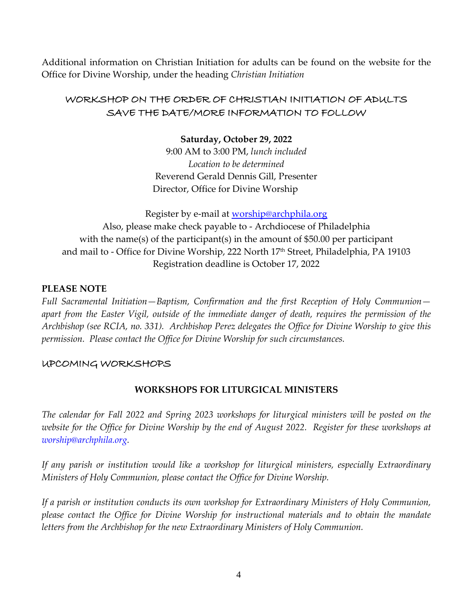Additional information on Christian Initiation for adults can be found on the website for the Office for Divine Worship, under the heading *Christian Initiation*

## WORKSHOP ON THE ORDER OF CHRISTIAN INITIATION OF ADULTS SAVE THE DATE/MORE INFORMATION TO FOLLOW

#### **Saturday, October 29, 2022**

9:00 AM to 3:00 PM, *lunch included Location to be determined* Reverend Gerald Dennis Gill, Presenter Director, Office for Divine Worship

Register by e-mail at **worship@archphila.org** 

Also, please make check payable to - Archdiocese of Philadelphia with the name(s) of the participant(s) in the amount of \$50.00 per participant and mail to - Office for Divine Worship, 222 North 17<sup>th</sup> Street, Philadelphia, PA 19103 Registration deadline is October 17, 2022

#### **PLEASE NOTE**

*Full Sacramental Initiation—Baptism, Confirmation and the first Reception of Holy Communion apart from the Easter Vigil, outside of the immediate danger of death, requires the permission of the Archbishop (see RCIA, no. 331). Archbishop Perez delegates the Office for Divine Worship to give this permission. Please contact the Office for Divine Worship for such circumstances.*

#### UPCOMING WORKSHOPS

#### **WORKSHOPS FOR LITURGICAL MINISTERS**

*The calendar for Fall 2022 and Spring 2023 workshops for liturgical ministers will be posted on the website for the Office for Divine Worship by the end of August 2022. Register for these workshops at [worship@archphila.org.](mailto:worship@archphila.org)*

*If any parish or institution would like a workshop for liturgical ministers, especially Extraordinary Ministers of Holy Communion, please contact the Office for Divine Worship.*

*If a parish or institution conducts its own workshop for Extraordinary Ministers of Holy Communion, please contact the Office for Divine Worship for instructional materials and to obtain the mandate letters from the Archbishop for the new Extraordinary Ministers of Holy Communion.*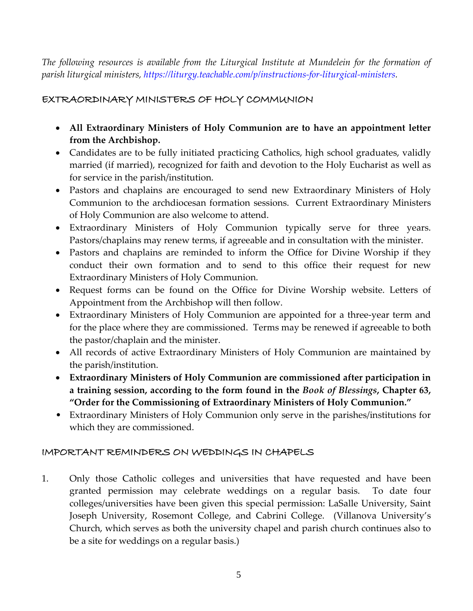*The following resources is available from the Liturgical Institute at Mundelein for the formation of parish liturgical ministers, [https://liturgy.teachable.com/p/instructions-for-liturgical-ministers.](https://liturgy.teachable.com/p/instructions-for-liturgical-ministers)* 

# EXTRAORDINARY MINISTERS OF HOLY COMMUNION

- **All Extraordinary Ministers of Holy Communion are to have an appointment letter from the Archbishop.**
- Candidates are to be fully initiated practicing Catholics, high school graduates, validly married (if married), recognized for faith and devotion to the Holy Eucharist as well as for service in the parish/institution.
- Pastors and chaplains are encouraged to send new Extraordinary Ministers of Holy Communion to the archdiocesan formation sessions. Current Extraordinary Ministers of Holy Communion are also welcome to attend.
- Extraordinary Ministers of Holy Communion typically serve for three years. Pastors/chaplains may renew terms, if agreeable and in consultation with the minister.
- Pastors and chaplains are reminded to inform the Office for Divine Worship if they conduct their own formation and to send to this office their request for new Extraordinary Ministers of Holy Communion.
- Request forms can be found on the Office for Divine Worship website. Letters of Appointment from the Archbishop will then follow.
- Extraordinary Ministers of Holy Communion are appointed for a three-year term and for the place where they are commissioned. Terms may be renewed if agreeable to both the pastor/chaplain and the minister.
- All records of active Extraordinary Ministers of Holy Communion are maintained by the parish/institution.
- **Extraordinary Ministers of Holy Communion are commissioned after participation in a training session, according to the form found in the** *Book of Blessings***, Chapter 63, "Order for the Commissioning of Extraordinary Ministers of Holy Communion."**
- Extraordinary Ministers of Holy Communion only serve in the parishes/institutions for which they are commissioned.

## IMPORTANT REMINDERS ON WEDDINGS IN CHAPELS

1. Only those Catholic colleges and universities that have requested and have been granted permission may celebrate weddings on a regular basis. To date four colleges/universities have been given this special permission: LaSalle University, Saint Joseph University, Rosemont College, and Cabrini College. (Villanova University's Church, which serves as both the university chapel and parish church continues also to be a site for weddings on a regular basis.)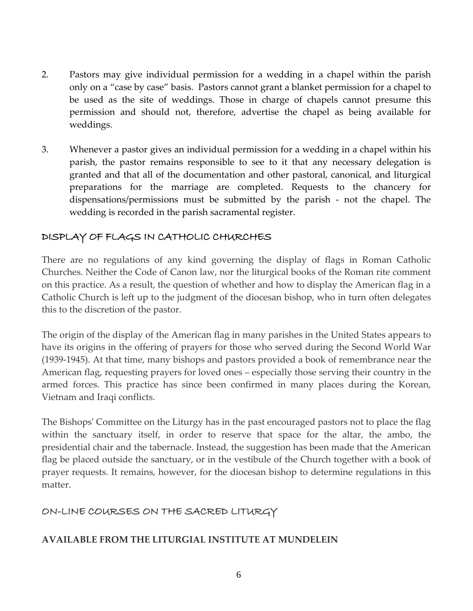- 2. Pastors may give individual permission for a wedding in a chapel within the parish only on a "case by case" basis. Pastors cannot grant a blanket permission for a chapel to be used as the site of weddings. Those in charge of chapels cannot presume this permission and should not, therefore, advertise the chapel as being available for weddings.
- 3. Whenever a pastor gives an individual permission for a wedding in a chapel within his parish, the pastor remains responsible to see to it that any necessary delegation is granted and that all of the documentation and other pastoral, canonical, and liturgical preparations for the marriage are completed. Requests to the chancery for dispensations/permissions must be submitted by the parish - not the chapel. The wedding is recorded in the parish sacramental register.

## DISPLAY OF FLAGS IN CATHOLIC CHURCHES

There are no regulations of any kind governing the display of flags in Roman Catholic Churches. Neither the Code of Canon law, nor the liturgical books of the Roman rite comment on this practice. As a result, the question of whether and how to display the American flag in a Catholic Church is left up to the judgment of the diocesan bishop, who in turn often delegates this to the discretion of the pastor.

The origin of the display of the American flag in many parishes in the United States appears to have its origins in the offering of prayers for those who served during the Second World War (1939-1945). At that time, many bishops and pastors provided a book of remembrance near the American flag, requesting prayers for loved ones – especially those serving their country in the armed forces. This practice has since been confirmed in many places during the Korean, Vietnam and Iraqi conflicts.

The Bishops' Committee on the Liturgy has in the past encouraged pastors not to place the flag within the sanctuary itself, in order to reserve that space for the altar, the ambo, the presidential chair and the tabernacle. Instead, the suggestion has been made that the American flag be placed outside the sanctuary, or in the vestibule of the Church together with a book of prayer requests. It remains, however, for the diocesan bishop to determine regulations in this matter.

## ON-LINE COURSES ON THE SACRED LITURGY

## **AVAILABLE FROM THE LITURGIAL INSTITUTE AT MUNDELEIN**